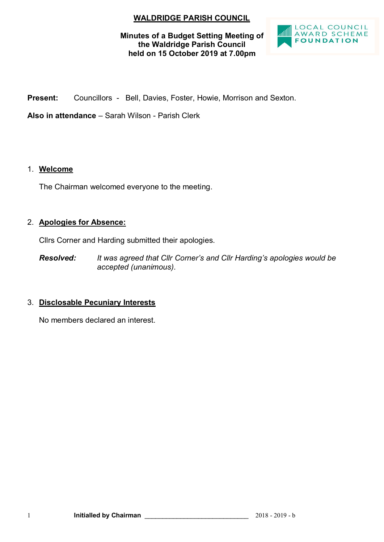# **WALDRIDGE PARISH COUNCIL**

### **Minutes of a Budget Setting Meeting of the Waldridge Parish Council held on 15 October 2019 at 7.00pm**



**Present:** Councillors - Bell, Davies, Foster, Howie, Morrison and Sexton.

**Also in attendance** – Sarah Wilson - Parish Clerk

### 1. **Welcome**

The Chairman welcomed everyone to the meeting.

### 2. **Apologies for Absence:**

Cllrs Corner and Harding submitted their apologies.

*Resolved: It was agreed that Cllr Corner's and Cllr Harding's apologies would be accepted (unanimous).*

# 3. **Disclosable Pecuniary Interests**

No members declared an interest.